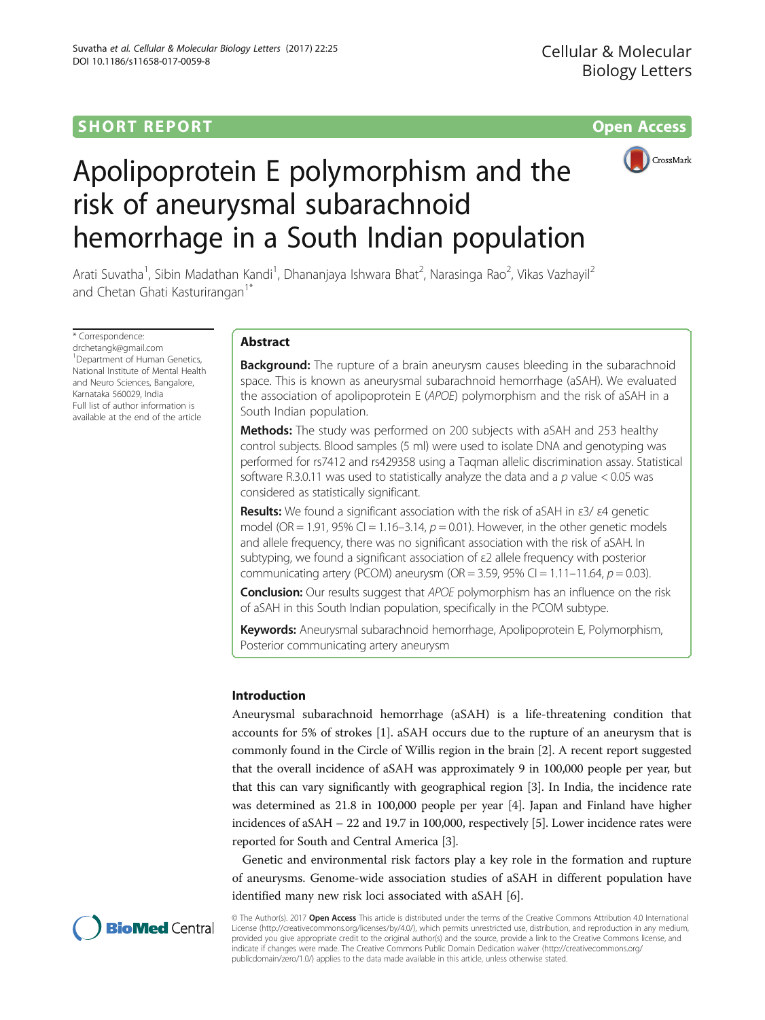# **SHORT REPORT SHORT** *CONTRESS <b>CONTRESS*



# Apolipoprotein E polymorphism and the risk of aneurysmal subarachnoid hemorrhage in a South Indian population

Arati Suvatha<sup>1</sup>, Sibin Madathan Kandi<sup>1</sup>, Dhananjaya Ishwara Bhat<sup>2</sup>, Narasinga Rao<sup>2</sup>, Vikas Vazhayil<sup>2</sup> and Chetan Ghati Kasturirangan<sup>1\*</sup>

\* Correspondence: [drchetangk@gmail.com](mailto:drchetangk@gmail.com) 1 Department of Human Genetics, National Institute of Mental Health and Neuro Sciences, Bangalore Karnataka 560029, India Full list of author information is available at the end of the article

# Abstract

**Background:** The rupture of a brain aneurysm causes bleeding in the subarachnoid space. This is known as aneurysmal subarachnoid hemorrhage (aSAH). We evaluated the association of apolipoprotein E (APOE) polymorphism and the risk of aSAH in a South Indian population.

**Methods:** The study was performed on 200 subjects with aSAH and 253 healthy control subjects. Blood samples (5 ml) were used to isolate DNA and genotyping was performed for rs7412 and rs429358 using a Taqman allelic discrimination assay. Statistical software R.3.0.11 was used to statistically analyze the data and a  $p$  value < 0.05 was considered as statistically significant.

Results: We found a significant association with the risk of aSAH in ε3/ ε4 genetic model (OR = 1.91, 95% CI = 1.16-3.14,  $p = 0.01$ ). However, in the other genetic models and allele frequency, there was no significant association with the risk of aSAH. In subtyping, we found a significant association of ε2 allele frequency with posterior communicating artery (PCOM) aneurysm (OR = 3.59, 95% CI = 1.11–11.64,  $p = 0.03$ ).

**Conclusion:** Our results suggest that APOE polymorphism has an influence on the risk of aSAH in this South Indian population, specifically in the PCOM subtype.

Keywords: Aneurysmal subarachnoid hemorrhage, Apolipoprotein E, Polymorphism, Posterior communicating artery aneurysm

# Introduction

Aneurysmal subarachnoid hemorrhage (aSAH) is a life-threatening condition that accounts for 5% of strokes [\[1\]](#page-8-0). aSAH occurs due to the rupture of an aneurysm that is commonly found in the Circle of Willis region in the brain [\[2\]](#page-8-0). A recent report suggested that the overall incidence of aSAH was approximately 9 in 100,000 people per year, but that this can vary significantly with geographical region [[3\]](#page-8-0). In India, the incidence rate was determined as 21.8 in 100,000 people per year [[4\]](#page-8-0). Japan and Finland have higher incidences of aSAH – 22 and 19.7 in 100,000, respectively [\[5\]](#page-8-0). Lower incidence rates were reported for South and Central America [\[3\]](#page-8-0).

Genetic and environmental risk factors play a key role in the formation and rupture of aneurysms. Genome-wide association studies of aSAH in different population have identified many new risk loci associated with aSAH [\[6](#page-8-0)].



© The Author(s). 2017 Open Access This article is distributed under the terms of the Creative Commons Attribution 4.0 International License ([http://creativecommons.org/licenses/by/4.0/\)](http://creativecommons.org/licenses/by/4.0/), which permits unrestricted use, distribution, and reproduction in any medium, provided you give appropriate credit to the original author(s) and the source, provide a link to the Creative Commons license, and indicate if changes were made. The Creative Commons Public Domain Dedication waiver ([http://creativecommons.org/](http://creativecommons.org/publicdomain/zero/1.0/) [publicdomain/zero/1.0/\)](http://creativecommons.org/publicdomain/zero/1.0/) applies to the data made available in this article, unless otherwise stated.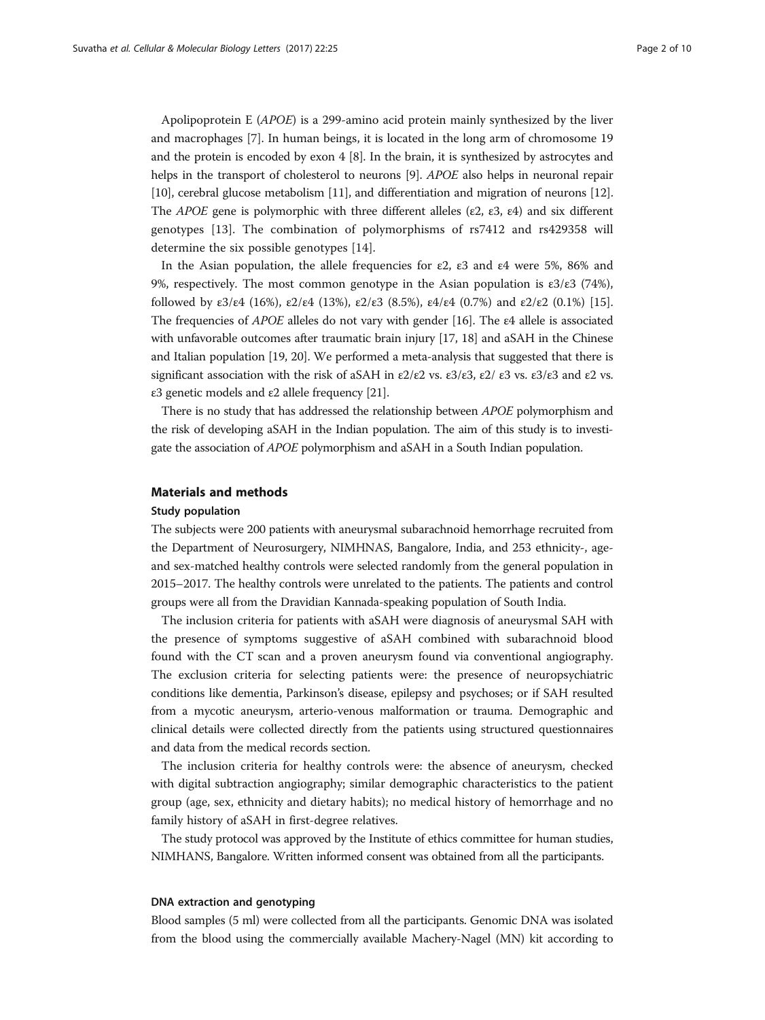Apolipoprotein E (APOE) is a 299-amino acid protein mainly synthesized by the liver and macrophages [\[7](#page-8-0)]. In human beings, it is located in the long arm of chromosome 19 and the protein is encoded by exon 4 [[8\]](#page-8-0). In the brain, it is synthesized by astrocytes and helps in the transport of cholesterol to neurons [[9\]](#page-8-0). APOE also helps in neuronal repair [[10](#page-8-0)], cerebral glucose metabolism [[11](#page-8-0)], and differentiation and migration of neurons [[12](#page-8-0)]. The APOE gene is polymorphic with three different alleles (ε2, ε3, ε4) and six different genotypes [[13\]](#page-8-0). The combination of polymorphisms of rs7412 and rs429358 will determine the six possible genotypes [[14](#page-8-0)].

In the Asian population, the allele frequencies for  $\varepsilon$ 2,  $\varepsilon$ 3 and  $\varepsilon$ 4 were 5%, 86% and 9%, respectively. The most common genotype in the Asian population is  $ε3/ε3$  (74%), followed by  $\epsilon 3/\epsilon 4$  (16%),  $\epsilon 2/\epsilon 4$  (13%),  $\epsilon 2/\epsilon 3$  (8.5%),  $\epsilon 4/\epsilon 4$  (0.7%) and  $\epsilon 2/\epsilon 2$  (0.1%) [[15](#page-8-0)]. The frequencies of APOE alleles do not vary with gender [\[16\]](#page-8-0). The ε4 allele is associated with unfavorable outcomes after traumatic brain injury [[17](#page-8-0), [18](#page-8-0)] and aSAH in the Chinese and Italian population [\[19, 20](#page-8-0)]. We performed a meta-analysis that suggested that there is significant association with the risk of aSAH in  $\epsilon 2/\epsilon 2$  vs.  $\epsilon 3/\epsilon 3$ ,  $\epsilon 2/\epsilon 3$  vs.  $\epsilon 3/\epsilon 3$  and  $\epsilon 2$  vs. ε3 genetic models and ε2 allele frequency [\[21\]](#page-8-0).

There is no study that has addressed the relationship between APOE polymorphism and the risk of developing aSAH in the Indian population. The aim of this study is to investigate the association of APOE polymorphism and aSAH in a South Indian population.

# Materials and methods

# Study population

The subjects were 200 patients with aneurysmal subarachnoid hemorrhage recruited from the Department of Neurosurgery, NIMHNAS, Bangalore, India, and 253 ethnicity-, ageand sex-matched healthy controls were selected randomly from the general population in 2015–2017. The healthy controls were unrelated to the patients. The patients and control groups were all from the Dravidian Kannada-speaking population of South India.

The inclusion criteria for patients with aSAH were diagnosis of aneurysmal SAH with the presence of symptoms suggestive of aSAH combined with subarachnoid blood found with the CT scan and a proven aneurysm found via conventional angiography. The exclusion criteria for selecting patients were: the presence of neuropsychiatric conditions like dementia, Parkinson's disease, epilepsy and psychoses; or if SAH resulted from a mycotic aneurysm, arterio-venous malformation or trauma. Demographic and clinical details were collected directly from the patients using structured questionnaires and data from the medical records section.

The inclusion criteria for healthy controls were: the absence of aneurysm, checked with digital subtraction angiography; similar demographic characteristics to the patient group (age, sex, ethnicity and dietary habits); no medical history of hemorrhage and no family history of aSAH in first-degree relatives.

The study protocol was approved by the Institute of ethics committee for human studies, NIMHANS, Bangalore. Written informed consent was obtained from all the participants.

## DNA extraction and genotyping

Blood samples (5 ml) were collected from all the participants. Genomic DNA was isolated from the blood using the commercially available Machery-Nagel (MN) kit according to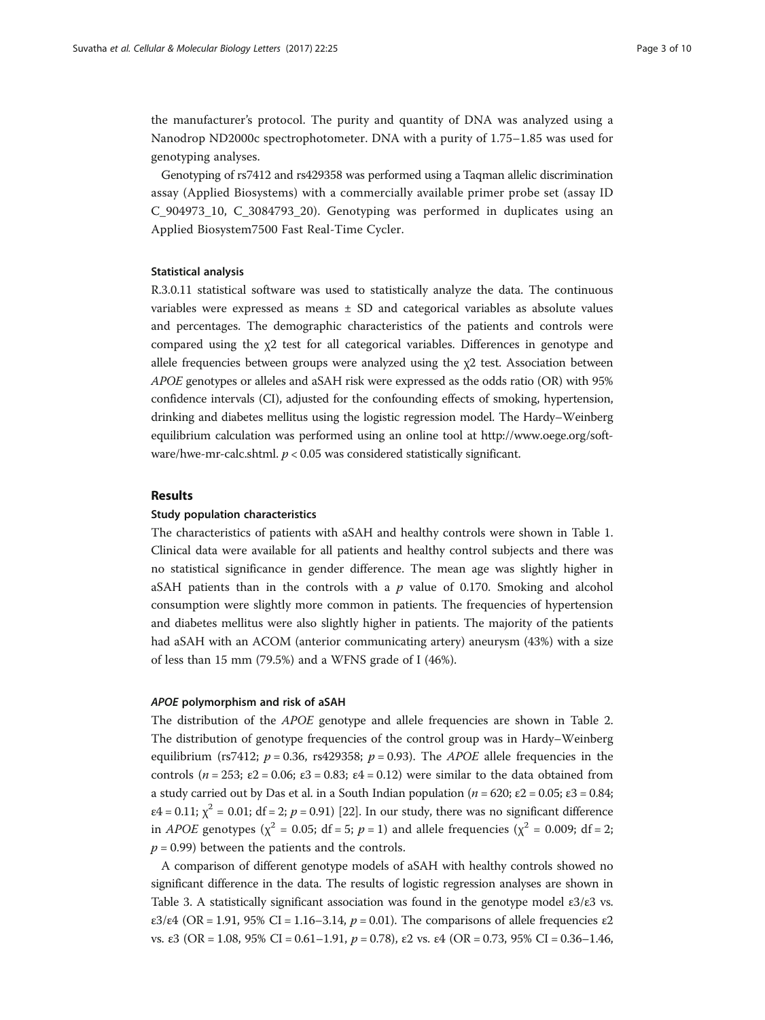the manufacturer's protocol. The purity and quantity of DNA was analyzed using a Nanodrop ND2000c spectrophotometer. DNA with a purity of 1.75–1.85 was used for genotyping analyses.

Genotyping of rs7412 and rs429358 was performed using a Taqman allelic discrimination assay (Applied Biosystems) with a commercially available primer probe set (assay ID C<sub>904973</sub> 10, C<sub>3084793</sub> 20). Genotyping was performed in duplicates using an Applied Biosystem7500 Fast Real-Time Cycler.

#### Statistical analysis

R.3.0.11 statistical software was used to statistically analyze the data. The continuous variables were expressed as means ± SD and categorical variables as absolute values and percentages. The demographic characteristics of the patients and controls were compared using the χ2 test for all categorical variables. Differences in genotype and allele frequencies between groups were analyzed using the  $\chi$ 2 test. Association between APOE genotypes or alleles and aSAH risk were expressed as the odds ratio (OR) with 95% confidence intervals (CI), adjusted for the confounding effects of smoking, hypertension, drinking and diabetes mellitus using the logistic regression model. The Hardy–Weinberg equilibrium calculation was performed using an online tool at [http://www.oege.org/soft](http://www.oege.org/software/hwe-mr-calc.shtml)[ware/hwe-mr-calc.shtml.](http://www.oege.org/software/hwe-mr-calc.shtml)  $p < 0.05$  was considered statistically significant.

## Results

# Study population characteristics

The characteristics of patients with aSAH and healthy controls were shown in Table [1](#page-3-0). Clinical data were available for all patients and healthy control subjects and there was no statistical significance in gender difference. The mean age was slightly higher in aSAH patients than in the controls with a  $p$  value of 0.170. Smoking and alcohol consumption were slightly more common in patients. The frequencies of hypertension and diabetes mellitus were also slightly higher in patients. The majority of the patients had aSAH with an ACOM (anterior communicating artery) aneurysm (43%) with a size of less than 15 mm (79.5%) and a WFNS grade of I (46%).

#### APOE polymorphism and risk of aSAH

The distribution of the APOE genotype and allele frequencies are shown in Table [2](#page-3-0). The distribution of genotype frequencies of the control group was in Hardy–Weinberg equilibrium (rs7412;  $p = 0.36$ , rs429358;  $p = 0.93$ ). The *APOE* allele frequencies in the controls ( $n = 253$ ;  $\varepsilon = 0.06$ ;  $\varepsilon = 0.83$ ;  $\varepsilon = 0.12$ ) were similar to the data obtained from a study carried out by Das et al. in a South Indian population ( $n = 620$ ; ε2 = 0.05; ε3 = 0.84;  $\varepsilon$ 4 = 0.11;  $\chi^2$  = 0.01; df = 2; p = 0.91) [[22](#page-8-0)]. In our study, there was no significant difference in *APOE* genotypes ( $\chi^2$  = 0.05; df = 5; p = 1) and allele frequencies ( $\chi^2$  = 0.009; df = 2;  $p = 0.99$ ) between the patients and the controls.

A comparison of different genotype models of aSAH with healthy controls showed no significant difference in the data. The results of logistic regression analyses are shown in Table [3.](#page-4-0) A statistically significant association was found in the genotype model  $\varepsilon$ 3/ $\varepsilon$ 3 vs. ε3/ε4 (OR = 1.91, 95% CI = 1.16–3.14,  $p = 0.01$ ). The comparisons of allele frequencies ε2 vs. ε3 (OR = 1.08, 95% CI = 0.61–1.91,  $p = 0.78$ ), ε2 vs. ε4 (OR = 0.73, 95% CI = 0.36–1.46,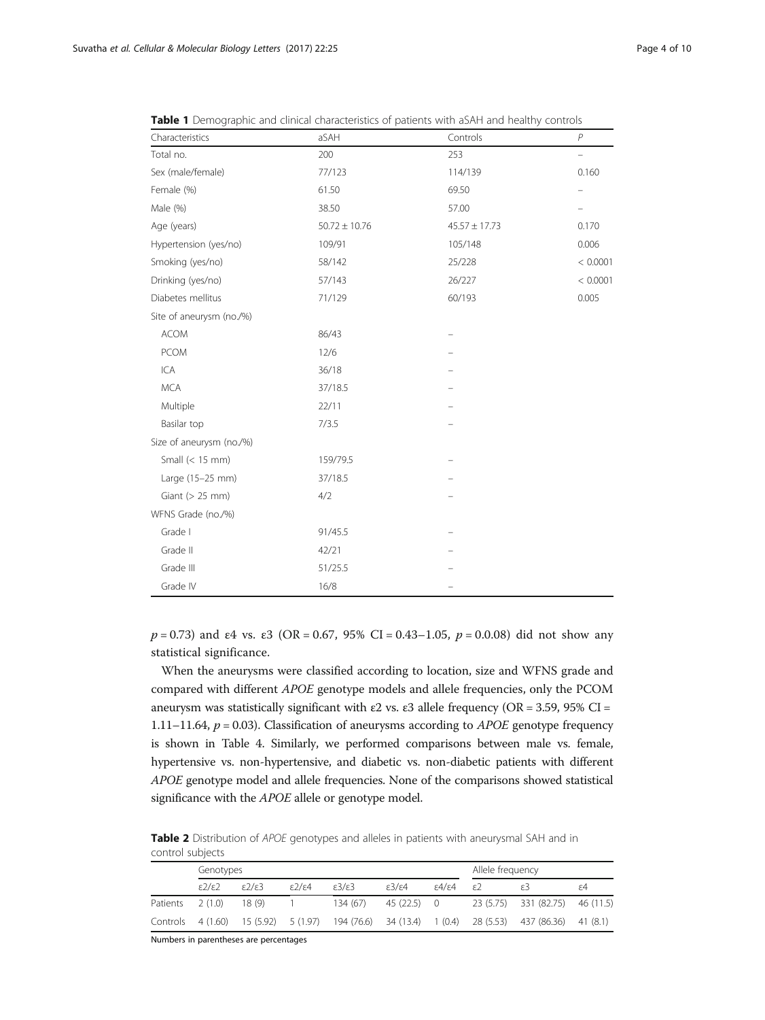| Characteristics          | aSAH              | Controls          | $\overline{P}$ |
|--------------------------|-------------------|-------------------|----------------|
| Total no.                | 200               | 253               |                |
| Sex (male/female)        | 77/123            | 114/139           | 0.160          |
| Female (%)               | 61.50             | 69.50             |                |
| Male (%)                 | 38.50             | 57.00             |                |
| Age (years)              | $50.72 \pm 10.76$ | $45.57 \pm 17.73$ | 0.170          |
| Hypertension (yes/no)    | 109/91            | 105/148           | 0.006          |
| Smoking (yes/no)         | 58/142            | 25/228            | < 0.0001       |
| Drinking (yes/no)        | 57/143            | 26/227            | < 0.0001       |
| Diabetes mellitus        | 71/129            | 60/193            | 0.005          |
| Site of aneurysm (no./%) |                   |                   |                |
| <b>ACOM</b>              | 86/43             |                   |                |
| <b>PCOM</b>              | 12/6              |                   |                |
| ICA                      | 36/18             |                   |                |
| <b>MCA</b>               | 37/18.5           |                   |                |
| Multiple                 | 22/11             |                   |                |
| Basilar top              | 7/3.5             |                   |                |
| Size of aneurysm (no./%) |                   |                   |                |
| Small $(< 15$ mm)        | 159/79.5          |                   |                |
| Large (15-25 mm)         | 37/18.5           |                   |                |
| Giant ( $> 25$ mm)       | 4/2               |                   |                |
| WFNS Grade (no./%)       |                   |                   |                |
| Grade I                  | 91/45.5           |                   |                |
| Grade II                 | 42/21             |                   |                |
| Grade III                | 51/25.5           |                   |                |
| Grade IV                 | 16/8              |                   |                |

<span id="page-3-0"></span>**Table 1** Demographic and clinical characteristics of patients with aSAH and healthy controls

 $p = 0.73$ ) and  $\varepsilon$ 4 vs.  $\varepsilon$ 3 (OR = 0.67, 95% CI = 0.43–1.05,  $p = 0.008$ ) did not show any statistical significance.

When the aneurysms were classified according to location, size and WFNS grade and compared with different APOE genotype models and allele frequencies, only the PCOM aneurysm was statistically significant with ε2 vs. ε3 allele frequency (OR = 3.59, 95% CI = 1.11–11.64,  $p = 0.03$ ). Classification of aneurysms according to *APOE* genotype frequency is shown in Table [4](#page-5-0). Similarly, we performed comparisons between male vs. female, hypertensive vs. non-hypertensive, and diabetic vs. non-diabetic patients with different APOE genotype model and allele frequencies. None of the comparisons showed statistical significance with the APOE allele or genotype model.

Table 2 Distribution of APOE genotypes and alleles in patients with aneurysmal SAH and in control subjects

|                   | Genotypes                  |                           |                           |                            |                            |                               | Allele frequency |                                                                                |    |
|-------------------|----------------------------|---------------------------|---------------------------|----------------------------|----------------------------|-------------------------------|------------------|--------------------------------------------------------------------------------|----|
|                   | $\epsilon$ 2/ $\epsilon$ 2 | $\epsilon$ / $\epsilon$ 3 | $\epsilon$ / $\epsilon$ 4 | $\epsilon$ 3/ $\epsilon$ 3 | $\epsilon$ 3/ $\epsilon$ 4 | $\varepsilon 4/\varepsilon 4$ | (ع               |                                                                                | ۶4 |
| Patients          | 2(1.0)                     | 18 (9)                    |                           | 134(67)                    | 45 (22.5) 0                |                               |                  | 23 (5.75) 331 (82.75) 46 (11.5)                                                |    |
| Controls 4 (1.60) |                            |                           |                           |                            |                            |                               |                  | 15 (5.92) 5 (1.97) 194 (76.6) 34 (13.4) 1 (0.4) 28 (5.53) 437 (86.36) 41 (8.1) |    |

Numbers in parentheses are percentages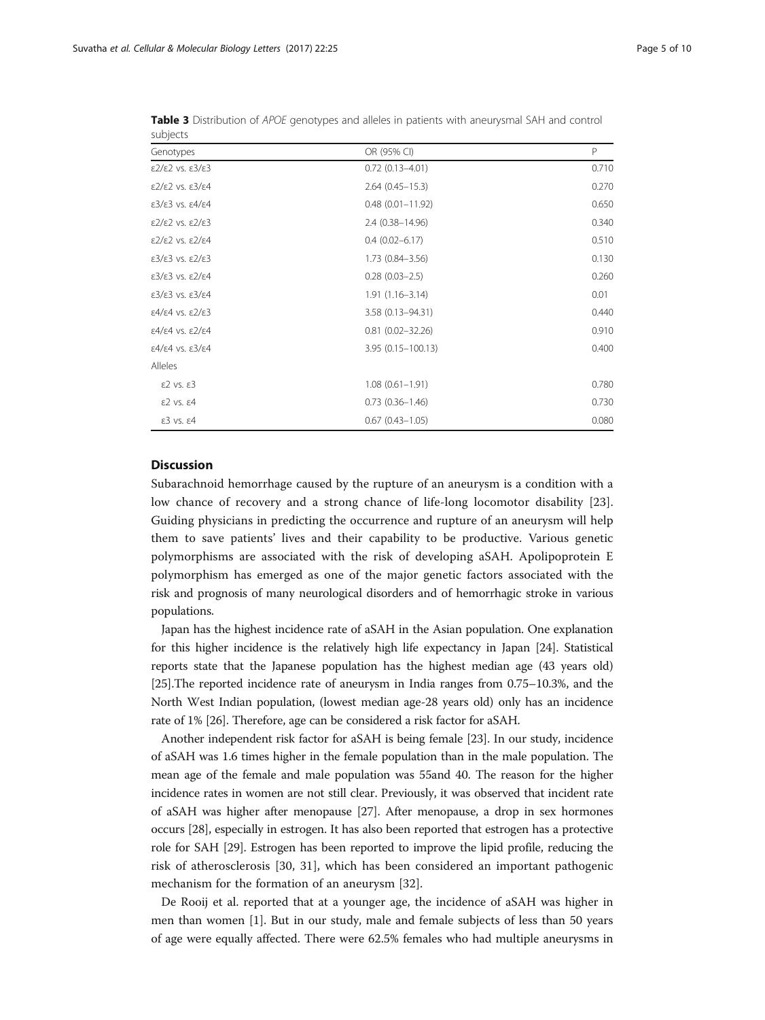| supjects                                                  |                         |       |
|-----------------------------------------------------------|-------------------------|-------|
| Genotypes                                                 | OR (95% CI)             | P     |
| $\epsilon$ 2/ $\epsilon$ 2 vs. $\epsilon$ 3/ $\epsilon$ 3 | $0.72(0.13 - 4.01)$     | 0.710 |
| $\epsilon$ 2/ $\epsilon$ 2 vs. $\epsilon$ 3/ $\epsilon$ 4 | $2.64(0.45 - 15.3)$     | 0.270 |
| $\epsilon$ 3/ $\epsilon$ 3 vs. $\epsilon$ 4/ $\epsilon$ 4 | $0.48(0.01 - 11.92)$    | 0.650 |
| $\epsilon$ 2/ $\epsilon$ 2 vs. $\epsilon$ 2/ $\epsilon$ 3 | 2.4 (0.38-14.96)        | 0.340 |
| $\epsilon$ 2/ $\epsilon$ 2 vs. $\epsilon$ 2/ $\epsilon$ 4 | $0.4(0.02 - 6.17)$      | 0.510 |
| $\epsilon$ 3/ $\epsilon$ 3 vs. $\epsilon$ 2/ $\epsilon$ 3 | $1.73(0.84 - 3.56)$     | 0.130 |
| $\epsilon$ 3/ $\epsilon$ 3 vs. $\epsilon$ 2/ $\epsilon$ 4 | $0.28(0.03 - 2.5)$      | 0.260 |
| $\epsilon$ 3/ $\epsilon$ 3 vs. $\epsilon$ 3/ $\epsilon$ 4 | $1.91(1.16 - 3.14)$     | 0.01  |
| $\epsilon$ 4/ $\epsilon$ 4 vs. $\epsilon$ 2/ $\epsilon$ 3 | 3.58 (0.13-94.31)       | 0.440 |
| $\epsilon$ 4/ $\epsilon$ 4 vs. $\epsilon$ 2/ $\epsilon$ 4 | $0.81$ $(0.02 - 32.26)$ | 0.910 |
| $\epsilon$ 4/ $\epsilon$ 4 vs. $\epsilon$ 3/ $\epsilon$ 4 | 3.95 (0.15-100.13)      | 0.400 |
| Alleles                                                   |                         |       |
| $E2$ vs. $E3$                                             | $1.08(0.61 - 1.91)$     | 0.780 |
| $E2$ vs. $E4$                                             | $0.73(0.36 - 1.46)$     | 0.730 |
| $E3$ vs. $E4$                                             | $0.67(0.43 - 1.05)$     | 0.080 |

<span id="page-4-0"></span>Table 3 Distribution of APOE genotypes and alleles in patients with aneurysmal SAH and control subjects

# **Discussion**

Subarachnoid hemorrhage caused by the rupture of an aneurysm is a condition with a low chance of recovery and a strong chance of life-long locomotor disability [\[23](#page-8-0)]. Guiding physicians in predicting the occurrence and rupture of an aneurysm will help them to save patients' lives and their capability to be productive. Various genetic polymorphisms are associated with the risk of developing aSAH. Apolipoprotein E polymorphism has emerged as one of the major genetic factors associated with the risk and prognosis of many neurological disorders and of hemorrhagic stroke in various populations.

Japan has the highest incidence rate of aSAH in the Asian population. One explanation for this higher incidence is the relatively high life expectancy in Japan [\[24\]](#page-8-0). Statistical reports state that the Japanese population has the highest median age (43 years old) [[25](#page-8-0)].The reported incidence rate of aneurysm in India ranges from 0.75–10.3%, and the North West Indian population, (lowest median age-28 years old) only has an incidence rate of 1% [\[26](#page-8-0)]. Therefore, age can be considered a risk factor for aSAH.

Another independent risk factor for aSAH is being female [[23](#page-8-0)]. In our study, incidence of aSAH was 1.6 times higher in the female population than in the male population. The mean age of the female and male population was 55and 40. The reason for the higher incidence rates in women are not still clear. Previously, it was observed that incident rate of aSAH was higher after menopause [\[27\]](#page-8-0). After menopause, a drop in sex hormones occurs [[28](#page-8-0)], especially in estrogen. It has also been reported that estrogen has a protective role for SAH [\[29\]](#page-8-0). Estrogen has been reported to improve the lipid profile, reducing the risk of atherosclerosis [[30, 31\]](#page-8-0), which has been considered an important pathogenic mechanism for the formation of an aneurysm [[32\]](#page-9-0).

De Rooij et al. reported that at a younger age, the incidence of aSAH was higher in men than women [\[1](#page-8-0)]. But in our study, male and female subjects of less than 50 years of age were equally affected. There were 62.5% females who had multiple aneurysms in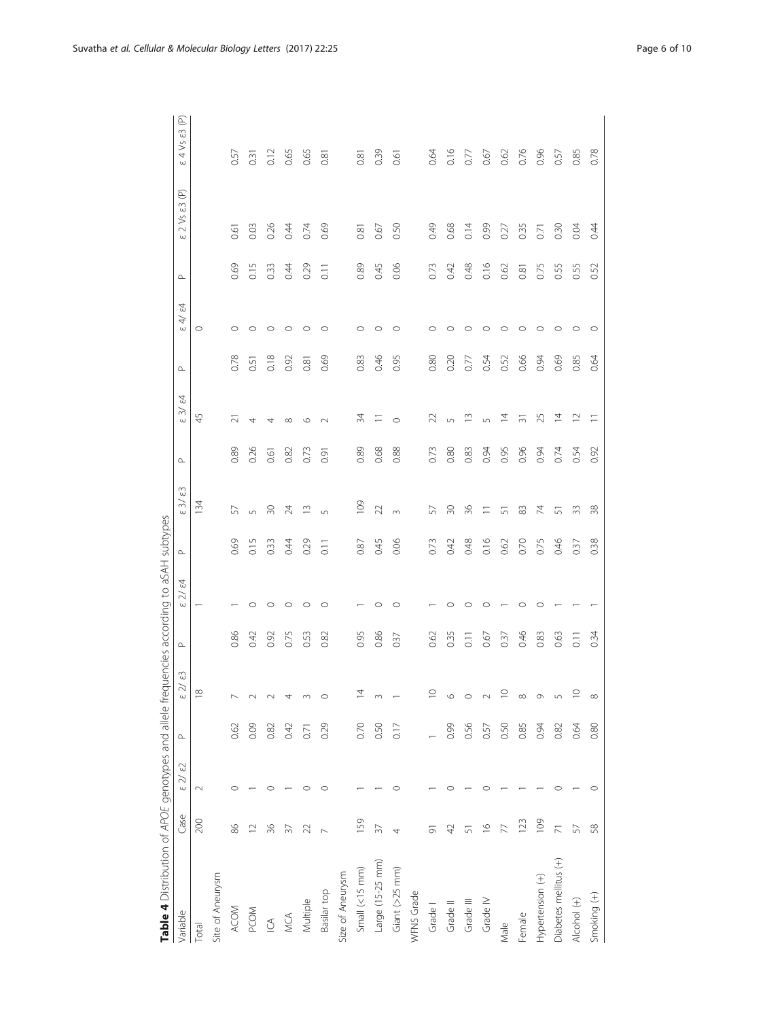<span id="page-5-0"></span>

| Table 4 Distribution of APOE genotypes and allele frequencies according to aSAH subtypes |                       |            |           |                                         |                  |                             |           |                            |           |                            |           |                                                 |                        |                                        |                                       |
|------------------------------------------------------------------------------------------|-----------------------|------------|-----------|-----------------------------------------|------------------|-----------------------------|-----------|----------------------------|-----------|----------------------------|-----------|-------------------------------------------------|------------------------|----------------------------------------|---------------------------------------|
| Variable                                                                                 | Case                  | $\Im$<br>Έ | $\square$ | $\mathbb{C}^3$<br>$\gtrsim$<br>$\omega$ | $\square$        | 24<br>$\gtrsim$<br>$\omega$ | $\square$ | ස<br>$\approx$<br>$\omega$ | $\square$ | 2<br>$\approx$<br>$\omega$ | $\square$ | $\tilde{z}$<br>$\overrightarrow{4}$<br>$\omega$ | $\mathrel{\mathsf{a}}$ | $2$ Vs $\varepsilon$ 3 (P)<br>$\omega$ | $\circledcirc$<br>4 Vs ε3<br>$\omega$ |
| Total                                                                                    | 200                   | $\sim$     |           | $\stackrel{\omega}{=}$                  |                  |                             |           | $\frac{34}{3}$             |           | 45                         |           | $\circ$                                         |                        |                                        |                                       |
| Site of Aneurysm                                                                         |                       |            |           |                                         |                  |                             |           |                            |           |                            |           |                                                 |                        |                                        |                                       |
| <b>ACOM</b>                                                                              | 86                    |            | 0.62      |                                         | 0.86             |                             | 0.69      | 57                         | 0.89      | Ń                          | 0.78      | $\circ$                                         | 0.69                   | 0.61                                   | 0.57                                  |
| PCOM                                                                                     | $\supseteq$           |            | 0.09      |                                         | 0.42             | $\circ$                     | 0.15      | $\sqrt{ }$                 | 0.26      | 4                          | 0.51      | $\circ$                                         | 0.15                   | 0.03                                   | 0.31                                  |
| $\subseteq$                                                                              | 36                    |            | 0.82      |                                         | 0.92             | $\circ$                     | 0.33      | $\overline{30}$            | 0.61      | 4                          | 0.18      | $\circ$                                         | 0.33                   | 0.26                                   | 0.12                                  |
| MCA                                                                                      |                       |            | 0.42      | 4                                       | 0.75             | $\circ$                     | 0.44      | 24                         | 0.82      | $\infty$                   | 0.92      | $\circ$                                         | 0.44                   | 0.44                                   | 0.65                                  |
| Multiple                                                                                 |                       |            | Ò         | m                                       | 0.53             | O                           | 0.29      | $\stackrel{\sim}{=}$       | 0.73      | $\circ$                    | 0.81      | $\circ$                                         | 0.29                   | 0.74                                   | 0.65                                  |
| Basilar top                                                                              |                       |            | 0.29      | $\circ$                                 | 0.82             | O                           | 0.11      | $\sqrt{2}$                 | 0.91      | $\sim$                     | 0.69      | $\circ$                                         | 0.11                   | 0.69                                   | 0.81                                  |
| Size of Aneurysm                                                                         |                       |            |           |                                         |                  |                             |           |                            |           |                            |           |                                                 |                        |                                        |                                       |
| Small $(<15$ mm)                                                                         | 159                   |            | 0.70      |                                         | 0.95             |                             | 0.87      | $\overline{501}$           | 0.89      | 34                         | 0.83      | $\circ$                                         | 0.89                   | 0.81                                   | 0.81                                  |
| Large (15-25 mm)                                                                         | 57                    |            | 0.50      | S                                       | 0.86             | O                           | 0.45      | 22                         | 0.68      | Ξ                          | 0.46      | $\circ$                                         | 0.45                   | 0.67                                   | 0.39                                  |
| Giant (>25 mm)                                                                           | 4                     |            | 0.17      |                                         | 037              | 0                           | 0.06      | $\infty$                   | 0.88      | $\circ$                    | 0.95      | $\circ$                                         | 0.06                   | 0.50                                   | 0.61                                  |
| WFNS Grade                                                                               |                       |            |           |                                         |                  |                             |           |                            |           |                            |           |                                                 |                        |                                        |                                       |
| Grade I                                                                                  | 5                     |            |           |                                         | 0.62             |                             | 0.73      | 57                         | 0.73      | 22                         | 0.80      | ○                                               | 0.73                   | 0.49                                   | 0.64                                  |
| Grade II                                                                                 | $\overline{4}$        |            | 0.99      | $\circ$                                 | 0.35             | O                           | 0.42      | $50\,$                     | 0.80      | 5                          | 0.20      | $\circ$                                         | 0.42                   | 0.68                                   | 0.16                                  |
| Grade III                                                                                | 51                    |            | 0.56      | $\circ$                                 | $\overline{0}$ . | O                           | 0.48      | 36                         | 0.83      | $\tilde{=}$                | 0.77      | $\circ$                                         | 0.48                   | 0.14                                   | 0.77                                  |
| Grade IV                                                                                 | $\stackrel{\circ}{=}$ |            | 0.57      |                                         | 0.67             | $\circ$                     | 0.16      | $\equiv$                   | 0.94      | $\sqrt{2}$                 | 0.54      | $\circ$                                         | 0.16                   | 0.99                                   | 0.67                                  |
| Male                                                                                     |                       |            | 0.50      |                                         | 0.37             |                             | 0.62      | 5                          | 0.95      | $\overline{4}$             | 0.52      | $\circ$                                         | 0.62                   | 0.27                                   | 0.62                                  |
| Female                                                                                   | $\overline{23}$       |            | 0.85      | ${}^{\infty}$                           | 0.46             | C                           | 0.70      | 83                         | 0.96      | $\overline{5}$             | 0.66      | $\circ$                                         | 0.81                   | 0.35                                   | 0.76                                  |
| Hypertension (+)                                                                         | 109                   |            | 0.94      | 0                                       | 0.83             |                             | 0.75      | 74                         | 0.94      | 25                         | 0.94      | $\circ$                                         | 0.75                   | 0.71                                   | 0.96                                  |
| Diabetes mellitus (+)                                                                    |                       |            | 0.82      | $\sqrt{2}$                              | 0.63             |                             | 0.46      | 5                          | 0.74      | $\overline{4}$             | 0.69      | $\circ$                                         | 0.55                   | 0.30                                   | 0.57                                  |
| Alcohol (+)                                                                              | 57                    |            | 0.64      |                                         | 0.11             |                             | 0.37      | 33                         | 0.54      | $\overline{C}$             | 0.85      | $\circ$                                         | 0.55                   | 0.04                                   | 0.85                                  |
| Smoking (+)                                                                              | 58                    |            | 0.80      | $\infty$                                | 0.34             |                             | 0.38      | 38                         | 0.92      | $\overline{1}$             | 0.64      | $\circ$                                         | 0.52                   | 0.44                                   | 0.78                                  |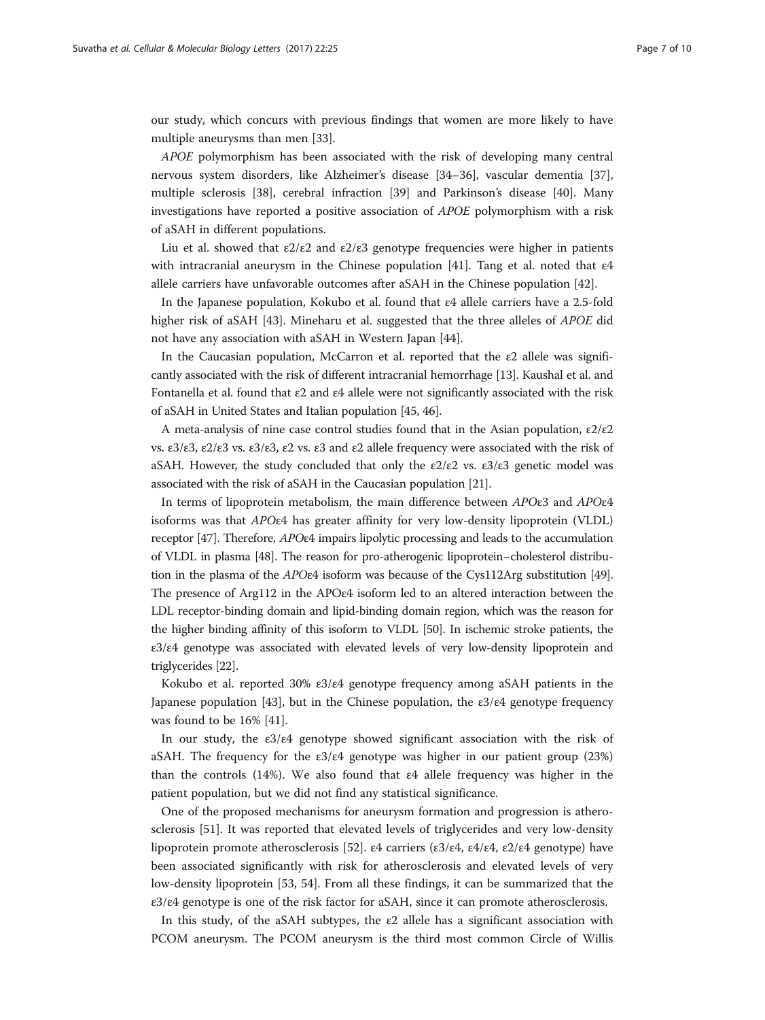our study, which concurs with previous findings that women are more likely to have multiple aneurysms than men [\[33\]](#page-9-0).

APOE polymorphism has been associated with the risk of developing many central nervous system disorders, like Alzheimer's disease [\[34](#page-9-0)–[36\]](#page-9-0), vascular dementia [[37](#page-9-0)], multiple sclerosis [[38](#page-9-0)], cerebral infraction [\[39](#page-9-0)] and Parkinson's disease [[40\]](#page-9-0). Many investigations have reported a positive association of APOE polymorphism with a risk of aSAH in different populations.

Liu et al. showed that  $\epsilon 2/\epsilon 2$  and  $\epsilon 2/\epsilon 3$  genotype frequencies were higher in patients with intracranial aneurysm in the Chinese population [[41\]](#page-9-0). Tang et al. noted that ε4 allele carriers have unfavorable outcomes after aSAH in the Chinese population [\[42\]](#page-9-0).

In the Japanese population, Kokubo et al. found that ε4 allele carriers have a 2.5-fold higher risk of aSAH [[43](#page-9-0)]. Mineharu et al. suggested that the three alleles of *APOE* did not have any association with aSAH in Western Japan [\[44](#page-9-0)].

In the Caucasian population, McCarron et al. reported that the  $\varepsilon$ 2 allele was significantly associated with the risk of different intracranial hemorrhage [\[13\]](#page-8-0). Kaushal et al. and Fontanella et al. found that ε2 and ε4 allele were not significantly associated with the risk of aSAH in United States and Italian population [[45, 46\]](#page-9-0).

A meta-analysis of nine case control studies found that in the Asian population,  $\epsilon 2/\epsilon 2$ vs. ε3/ε3, ε2/ε3 vs. ε3/ε3, ε2 vs. ε3 and ε2 allele frequency were associated with the risk of aSAH. However, the study concluded that only the  $\epsilon 2/\epsilon 2$  vs.  $\epsilon 3/\epsilon 3$  genetic model was associated with the risk of aSAH in the Caucasian population [[21\]](#page-8-0).

In terms of lipoprotein metabolism, the main difference between APOε3 and APOε4 isoforms was that APOε4 has greater affinity for very low-density lipoprotein (VLDL) receptor [\[47\]](#page-9-0). Therefore, APOε4 impairs lipolytic processing and leads to the accumulation of VLDL in plasma [\[48\]](#page-9-0). The reason for pro-atherogenic lipoprotein–cholesterol distribution in the plasma of the APOε4 isoform was because of the Cys112Arg substitution [\[49](#page-9-0)]. The presence of Arg112 in the APOε4 isoform led to an altered interaction between the LDL receptor-binding domain and lipid-binding domain region, which was the reason for the higher binding affinity of this isoform to VLDL [\[50\]](#page-9-0). In ischemic stroke patients, the ε3/ε4 genotype was associated with elevated levels of very low-density lipoprotein and triglycerides [\[22\]](#page-8-0).

Kokubo et al. reported 30% ε3/ε4 genotype frequency among aSAH patients in the Japanese population [[43\]](#page-9-0), but in the Chinese population, the  $\varepsilon 3/\varepsilon 4$  genotype frequency was found to be 16% [\[41\]](#page-9-0).

In our study, the  $\varepsilon 3/\varepsilon 4$  genotype showed significant association with the risk of aSAH. The frequency for the  $\varepsilon 3/\varepsilon 4$  genotype was higher in our patient group (23%) than the controls (14%). We also found that  $\varepsilon$ 4 allele frequency was higher in the patient population, but we did not find any statistical significance.

One of the proposed mechanisms for aneurysm formation and progression is atherosclerosis [\[51](#page-9-0)]. It was reported that elevated levels of triglycerides and very low-density lipoprotein promote atherosclerosis [\[52](#page-9-0)].  $\varepsilon$ 4 carriers ( $\varepsilon$ 3/ $\varepsilon$ 4,  $\varepsilon$ 4/ $\varepsilon$ 4,  $\varepsilon$ 2/ $\varepsilon$ 4 genotype) have been associated significantly with risk for atherosclerosis and elevated levels of very low-density lipoprotein [\[53](#page-9-0), [54](#page-9-0)]. From all these findings, it can be summarized that the ε3/ε4 genotype is one of the risk factor for aSAH, since it can promote atherosclerosis.

In this study, of the aSAH subtypes, the  $\varepsilon$ 2 allele has a significant association with PCOM aneurysm. The PCOM aneurysm is the third most common Circle of Willis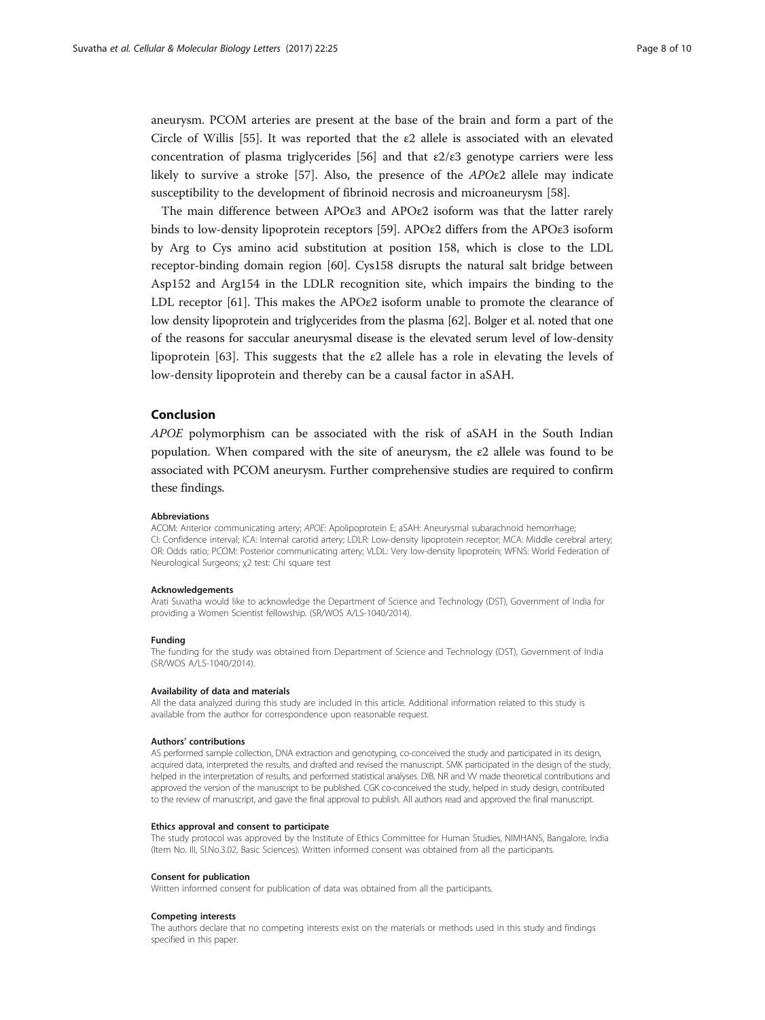aneurysm. PCOM arteries are present at the base of the brain and form a part of the Circle of Willis [\[55](#page-9-0)]. It was reported that the  $\varepsilon$ 2 allele is associated with an elevated concentration of plasma triglycerides [[56](#page-9-0)] and that  $\epsilon$ 2/ $\epsilon$ 3 genotype carriers were less likely to survive a stroke [\[57](#page-9-0)]. Also, the presence of the APOε2 allele may indicate susceptibility to the development of fibrinoid necrosis and microaneurysm [[58\]](#page-9-0).

The main difference between APOε3 and APOε2 isoform was that the latter rarely binds to low-density lipoprotein receptors [\[59](#page-9-0)]. APOε2 differs from the APOε3 isoform by Arg to Cys amino acid substitution at position 158, which is close to the LDL receptor-binding domain region [[60\]](#page-9-0). Cys158 disrupts the natural salt bridge between Asp152 and Arg154 in the LDLR recognition site, which impairs the binding to the LDL receptor [[61\]](#page-9-0). This makes the APO $\varepsilon$ 2 isoform unable to promote the clearance of low density lipoprotein and triglycerides from the plasma [[62](#page-9-0)]. Bolger et al. noted that one of the reasons for saccular aneurysmal disease is the elevated serum level of low-density lipoprotein [[63\]](#page-9-0). This suggests that the  $\varepsilon$ 2 allele has a role in elevating the levels of low-density lipoprotein and thereby can be a causal factor in aSAH.

# Conclusion

APOE polymorphism can be associated with the risk of aSAH in the South Indian population. When compared with the site of aneurysm, the  $\epsilon$ 2 allele was found to be associated with PCOM aneurysm. Further comprehensive studies are required to confirm these findings.

#### Abbreviations

ACOM: Anterior communicating artery; APOE: Apolipoprotein E; aSAH: Aneurysmal subarachnoid hemorrhage; CI: Confidence interval; ICA: Internal carotid artery; LDLR: Low-density lipoprotein receptor; MCA: Middle cerebral artery; OR: Odds ratio; PCOM: Posterior communicating artery; VLDL: Very low-density lipoprotein; WFNS: World Federation of Neurological Surgeons; χ2 test: Chi square test

#### Acknowledgements

Arati Suvatha would like to acknowledge the Department of Science and Technology (DST), Government of India for providing a Women Scientist fellowship. (SR/WOS A/LS-1040/2014).

#### Funding

The funding for the study was obtained from Department of Science and Technology (DST), Government of India (SR/WOS A/LS-1040/2014).

#### Availability of data and materials

All the data analyzed during this study are included in this article. Additional information related to this study is available from the author for correspondence upon reasonable request.

#### Authors' contributions

AS performed sample collection, DNA extraction and genotyping, co-conceived the study and participated in its design, acquired data, interpreted the results, and drafted and revised the manuscript. SMK participated in the design of the study, helped in the interpretation of results, and performed statistical analyses. DIB, NR and W made theoretical contributions and approved the version of the manuscript to be published. CGK co-conceived the study, helped in study design, contributed to the review of manuscript, and gave the final approval to publish. All authors read and approved the final manuscript.

#### Ethics approval and consent to participate

The study protocol was approved by the Institute of Ethics Committee for Human Studies, NIMHANS, Bangalore, India (Item No. III, Sl.No.3.02, Basic Sciences). Written informed consent was obtained from all the participants.

#### Consent for publication

Written informed consent for publication of data was obtained from all the participants.

#### Competing interests

The authors declare that no competing interests exist on the materials or methods used in this study and findings specified in this paper.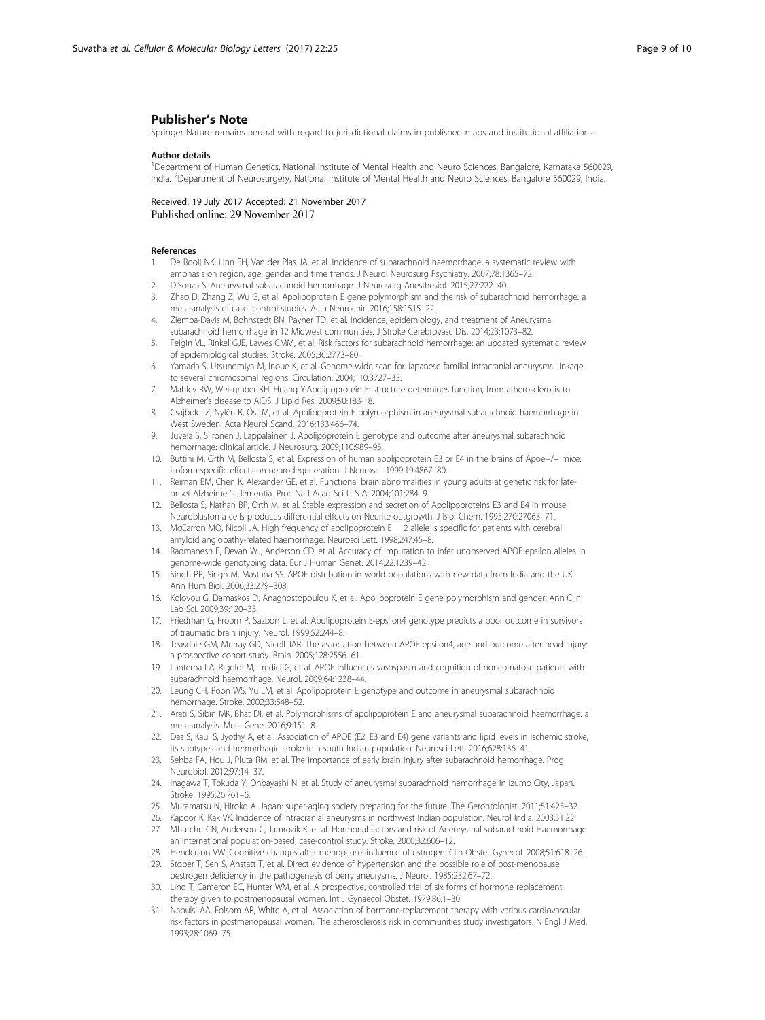# <span id="page-8-0"></span>Publisher's Note

Springer Nature remains neutral with regard to jurisdictional claims in published maps and institutional affiliations.

#### Author details

1 Department of Human Genetics, National Institute of Mental Health and Neuro Sciences, Bangalore, Karnataka 560029, India. <sup>2</sup> Department of Neurosurgery, National Institute of Mental Health and Neuro Sciences, Bangalore 560029, India.

Received: 19 July 2017 Accepted: 21 November 2017<br>Published online: 29 November 2017

#### References

- 1. De Rooij NK, Linn FH, Van der Plas JA, et al. Incidence of subarachnoid haemorrhage: a systematic review with emphasis on region, age, gender and time trends. J Neurol Neurosurg Psychiatry. 2007;78:1365–72.
- 2. D'Souza S. Aneurysmal subarachnoid hemorrhage. J Neurosurg Anesthesiol. 2015;27:222–40.
- 3. Zhao D, Zhang Z, Wu G, et al. Apolipoprotein E gene polymorphism and the risk of subarachnoid hemorrhage: a meta-analysis of case–control studies. Acta Neurochir. 2016;158:1515–22.
- 4. Ziemba-Davis M, Bohnstedt BN, Payner TD, et al. Incidence, epidemiology, and treatment of Aneurysmal subarachnoid hemorrhage in 12 Midwest communities. J Stroke Cerebrovasc Dis. 2014;23:1073–82.
- 5. Feigin VL, Rinkel GJE, Lawes CMM, et al. Risk factors for subarachnoid hemorrhage: an updated systematic review of epidemiological studies. Stroke. 2005;36:2773–80.
- 6. Yamada S, Utsunomiya M, Inoue K, et al. Genome-wide scan for Japanese familial intracranial aneurysms: linkage to several chromosomal regions. Circulation. 2004;110:3727–33.
- 7. Mahley RW, Weisgraber KH, Huang Y.Apolipoprotein E: structure determines function, from atherosclerosis to Alzheimer's disease to AIDS. J Lipid Res. 2009;50:183-18.
- 8. Csajbok LZ, Nylén K, Öst M, et al. Apolipoprotein E polymorphism in aneurysmal subarachnoid haemorrhage in West Sweden. Acta Neurol Scand. 2016;133:466–74.
- 9. Juvela S, Siironen J, Lappalainen J. Apolipoprotein E genotype and outcome after aneurysmal subarachnoid hemorrhage: clinical article. J Neurosurg. 2009;110:989–95.
- 10. Buttini M, Orth M, Bellosta S, et al. Expression of human apolipoprotein E3 or E4 in the brains of Apoe−/− mice: isoform-specific effects on neurodegeneration. J Neurosci. 1999;19:4867–80.
- 11. Reiman EM, Chen K, Alexander GE, et al. Functional brain abnormalities in young adults at genetic risk for lateonset Alzheimer's dementia. Proc Natl Acad Sci U S A. 2004;101:284–9.
- 12. Bellosta S, Nathan BP, Orth M, et al. Stable expression and secretion of Apolipoproteins E3 and E4 in mouse Neuroblastoma cells produces differential effects on Neurite outgrowth. J Biol Chem. 1995;270:27063–71.
- 13. McCarron MO, Nicoll JA. High frequency of apolipoprotein E 2 allele is specific for patients with cerebral amyloid angiopathy-related haemorrhage. Neurosci Lett. 1998;247:45–8.
- 14. Radmanesh F, Devan WJ, Anderson CD, et al. Accuracy of imputation to infer unobserved APOE epsilon alleles in genome-wide genotyping data. Eur J Human Genet. 2014;22:1239–42.
- 15. Singh PP, Singh M, Mastana SS. APOE distribution in world populations with new data from India and the UK. Ann Hum Biol. 2006;33:279–308.
- 16. Kolovou G, Damaskos D, Anagnostopoulou K, et al. Apolipoprotein E gene polymorphism and gender. Ann Clin Lab Sci. 2009;39:120–33.
- 17. Friedman G, Froom P, Sazbon L, et al. Apolipoprotein E-epsilon4 genotype predicts a poor outcome in survivors of traumatic brain injury. Neurol. 1999;52:244–8.
- 18. Teasdale GM, Murray GD, Nicoll JAR. The association between APOE epsilon4, age and outcome after head injury: a prospective cohort study. Brain. 2005;128:2556–61.
- 19. Lanterna LA, Rigoldi M, Tredici G, et al. APOE influences vasospasm and cognition of noncomatose patients with subarachnoid haemorrhage. Neurol. 2009;64:1238–44.
- 20. Leung CH, Poon WS, Yu LM, et al. Apolipoprotein E genotype and outcome in aneurysmal subarachnoid hemorrhage. Stroke. 2002;33:548–52.
- 21. Arati S, Sibin MK, Bhat DI, et al. Polymorphisms of apolipoprotein E and aneurysmal subarachnoid haemorrhage: a meta-analysis. Meta Gene. 2016;9:151–8.
- 22. Das S, Kaul S, Jyothy A, et al. Association of APOE (E2, E3 and E4) gene variants and lipid levels in ischemic stroke, its subtypes and hemorrhagic stroke in a south Indian population. Neurosci Lett. 2016;628:136–41.
- 23. Sehba FA, Hou J, Pluta RM, et al. The importance of early brain injury after subarachnoid hemorrhage. Prog Neurobiol. 2012;97:14–37.
- 24. Inagawa T, Tokuda Y, Ohbayashi N, et al. Study of aneurysmal subarachnoid hemorrhage in Izumo City, Japan. Stroke. 1995;26:761–6.
- 25. Muramatsu N, Hiroko A. Japan: super-aging society preparing for the future. The Gerontologist. 2011;51:425–32.
- 26. Kapoor K, Kak VK. Incidence of intracranial aneurysms in northwest Indian population. Neurol India. 2003;51:22.
- 27. Mhurchu CN, Anderson C, Jamrozik K, et al. Hormonal factors and risk of Aneurysmal subarachnoid Haemorrhage an international population-based, case-control study. Stroke. 2000;32:606–12.
- 28. Henderson VW. Cognitive changes after menopause: influence of estrogen. Clin Obstet Gynecol. 2008;51:618–26.
- 29. Stober T, Sen S, Anstatt T, et al. Direct evidence of hypertension and the possible role of post-menopause oestrogen deficiency in the pathogenesis of berry aneurysms. J Neurol. 1985;232:67–72.
- 30. Lind T, Cameron EC, Hunter WM, et al. A prospective, controlled trial of six forms of hormone replacement therapy given to postmenopausal women. Int J Gynaecol Obstet. 1979;86:1–30.
- 31. Nabulsi AA, Folsom AR, White A, et al. Association of hormone-replacement therapy with various cardiovascular risk factors in postmenopausal women. The atherosclerosis risk in communities study investigators. N Engl J Med. 1993;28:1069–75.